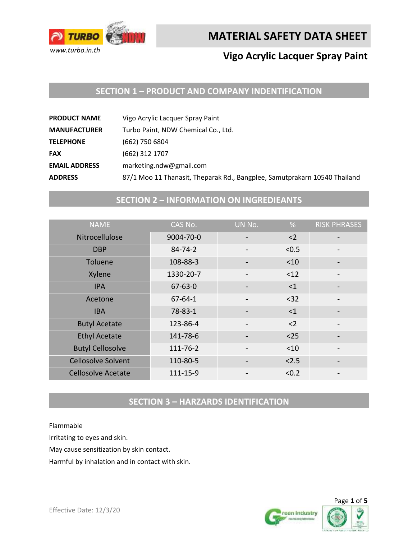

## **Vigo Acrylic Lacquer Spray Paint**

#### **SECTION 1 – PRODUCT AND COMPANY INDENTIFICATION**

| Vigo Acrylic Lacquer Spray Paint<br><b>PRODUCT NAME</b>                                     |  |
|---------------------------------------------------------------------------------------------|--|
| Turbo Paint, NDW Chemical Co., Ltd.<br><b>MANUFACTURER</b>                                  |  |
| (662) 750 6804<br><b>TELEPHONE</b>                                                          |  |
| (662) 312 1707<br><b>FAX</b>                                                                |  |
| marketing.ndw@gmail.com<br><b>EMAIL ADDRESS</b>                                             |  |
| 87/1 Moo 11 Thanasit, Theparak Rd., Bangplee, Samutprakarn 10540 Thailand<br><b>ADDRESS</b> |  |

## **SECTION 2 – INFORMATION ON INGREDIEANTS**

| <b>NAME</b>               | CAS No.       | UN No. | %        | <b>RISK PHRASES</b> |
|---------------------------|---------------|--------|----------|---------------------|
| Nitrocellulose            | 9004-70-0     |        | $2$      |                     |
| <b>DBP</b>                | $84 - 74 - 2$ |        | < 0.5    |                     |
| Toluene                   | 108-88-3      |        | < 10     |                     |
| Xylene                    | 1330-20-7     |        | < 12     |                     |
| <b>IPA</b>                | $67 - 63 - 0$ |        | $\leq$ 1 |                     |
| Acetone                   | $67 - 64 - 1$ |        | $32$     |                     |
| <b>IBA</b>                | 78-83-1       |        | <1       |                     |
| <b>Butyl Acetate</b>      | 123-86-4      |        | $2$      |                     |
| <b>Ethyl Acetate</b>      | 141-78-6      |        | $25$     |                     |
| <b>Butyl Cellosolve</b>   | 111-76-2      |        | < 10     |                     |
| <b>Cellosolve Solvent</b> | 110-80-5      |        | < 2.5    |                     |
| <b>Cellosolve Acetate</b> | 111-15-9      |        | < 0.2    |                     |

## **SECTION 3 – HARZARDS IDENTIFICATION**

Flammable

Irritating to eyes and skin.

May cause sensitization by skin contact.

Harmful by inhalation and in contact with skin.



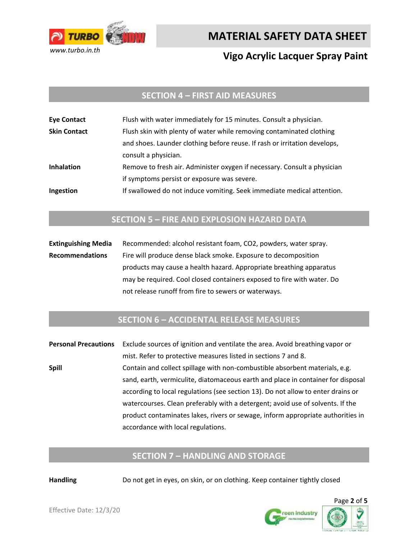

## **Vigo Acrylic Lacquer Spray Paint**

#### **SECTION 4 – FIRST AID MEASURES**

| <b>Eye Contact</b>  | Flush with water immediately for 15 minutes. Consult a physician.         |  |
|---------------------|---------------------------------------------------------------------------|--|
| <b>Skin Contact</b> | Flush skin with plenty of water while removing contaminated clothing      |  |
|                     | and shoes. Launder clothing before reuse. If rash or irritation develops, |  |
|                     | consult a physician.                                                      |  |
| <b>Inhalation</b>   | Remove to fresh air. Administer oxygen if necessary. Consult a physician  |  |
|                     | if symptoms persist or exposure was severe.                               |  |
| Ingestion           | If swallowed do not induce vomiting. Seek immediate medical attention.    |  |

#### **SECTION 5 – FIRE AND EXPLOSION HAZARD DATA**

**Extinguishing Media** Recommended: alcohol resistant foam, CO2, powders, water spray. **Recommendations** Fire will produce dense black smoke. Exposure to decomposition products may cause a health hazard. Appropriate breathing apparatus may be required. Cool closed containers exposed to fire with water. Do not release runoff from fire to sewers or waterways.

#### **SECTION 6 – ACCIDENTAL RELEASE MEASURES**

**Personal Precautions** Exclude sources of ignition and ventilate the area. Avoid breathing vapor or mist. Refer to protective measures listed in sections 7 and 8. **Spill** Contain and collect spillage with non-combustible absorbent materials, e.g. sand, earth, vermiculite, diatomaceous earth and place in container for disposal according to local regulations (see section 13). Do not allow to enter drains or watercourses. Clean preferably with a detergent; avoid use of solvents. If the product contaminates lakes, rivers or sewage, inform appropriate authorities in accordance with local regulations.

#### **SECTION 7 – HANDLING AND STORAGE**

**Handling** Do not get in eyes, on skin, or on clothing. Keep container tightly closed

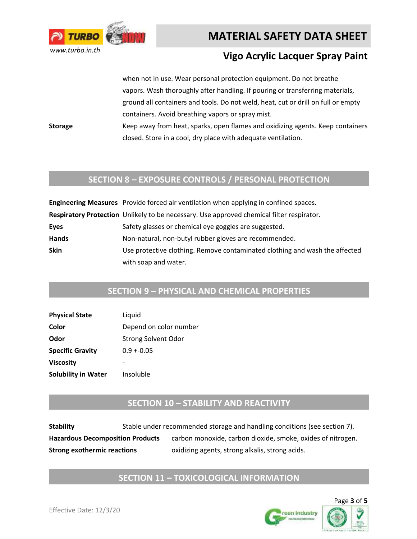

### **Vigo Acrylic Lacquer Spray Paint**

when not in use. Wear personal protection equipment. Do not breathe vapors. Wash thoroughly after handling. If pouring or transferring materials, ground all containers and tools. Do not weld, heat, cut or drill on full or empty containers. Avoid breathing vapors or spray mist.

**Storage** Keep away from heat, sparks, open flames and oxidizing agents. Keep containers closed. Store in a cool, dry place with adequate ventilation.

#### **SECTION 8 – EXPOSURE CONTROLS / PERSONAL PROTECTION**

|              | Engineering Measures Provide forced air ventilation when applying in confined spaces.     |  |  |
|--------------|-------------------------------------------------------------------------------------------|--|--|
|              | Respiratory Protection Unlikely to be necessary. Use approved chemical filter respirator. |  |  |
| Eyes         | Safety glasses or chemical eye goggles are suggested.                                     |  |  |
| <b>Hands</b> | Non-natural, non-butyl rubber gloves are recommended.                                     |  |  |
| <b>Skin</b>  | Use protective clothing. Remove contaminated clothing and wash the affected               |  |  |
|              | with soap and water.                                                                      |  |  |

#### **SECTION 9 – PHYSICAL AND CHEMICAL PROPERTIES**

| <b>Physical State</b>      | Liquid                     |
|----------------------------|----------------------------|
| Color                      | Depend on color number     |
| Odor                       | <b>Strong Solvent Odor</b> |
| <b>Specific Gravity</b>    | $0.9 + 0.05$               |
| <b>Viscosity</b>           |                            |
| <b>Solubility in Water</b> | Insoluble                  |

#### **SECTION 10 – STABILITY AND REACTIVITY**

| <b>Stability</b>                        | Stable under recommended storage and handling conditions (see section 7). |                                                             |  |
|-----------------------------------------|---------------------------------------------------------------------------|-------------------------------------------------------------|--|
| <b>Hazardous Decomposition Products</b> |                                                                           | carbon monoxide, carbon dioxide, smoke, oxides of nitrogen. |  |
| <b>Strong exothermic reactions</b>      |                                                                           | oxidizing agents, strong alkalis, strong acids.             |  |

#### **SECTION 11 – TOXICOLOGICAL INFORMATION**

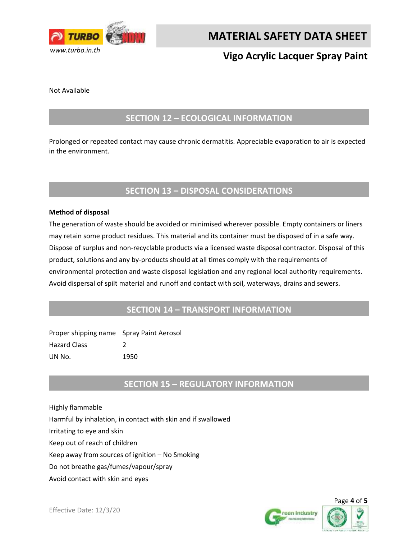

# **Vigo Acrylic Lacquer Spray Paint**

Not Available

#### **SECTION 12 – ECOLOGICAL INFORMATION**

Prolonged or repeated contact may cause chronic dermatitis. Appreciable evaporation to air is expected in the environment.

#### **SECTION 13 – DISPOSAL CONSIDERATIONS**

#### **Method of disposal**

The generation of waste should be avoided or minimised wherever possible. Empty containers or liners may retain some product residues. This material and its container must be disposed of in a safe way. Dispose of surplus and non-recyclable products via a licensed waste disposal contractor. Disposal of this product, solutions and any by-products should at all times comply with the requirements of environmental protection and waste disposal legislation and any regional local authority requirements. Avoid dispersal of spilt material and runoff and contact with soil, waterways, drains and sewers.

#### **SECTION 14 – TRANSPORT INFORMATION**

| Proper shipping name Spray Paint Aerosol |      |
|------------------------------------------|------|
| <b>Hazard Class</b>                      |      |
| UN No.                                   | 1950 |

#### **SECTION 15 – REGULATORY INFORMATION**

Highly flammable Harmful by inhalation, in contact with skin and if swallowed Irritating to eye and skin Keep out of reach of children Keep away from sources of ignition – No Smoking Do not breathe gas/fumes/vapour/spray Avoid contact with skin and eyes